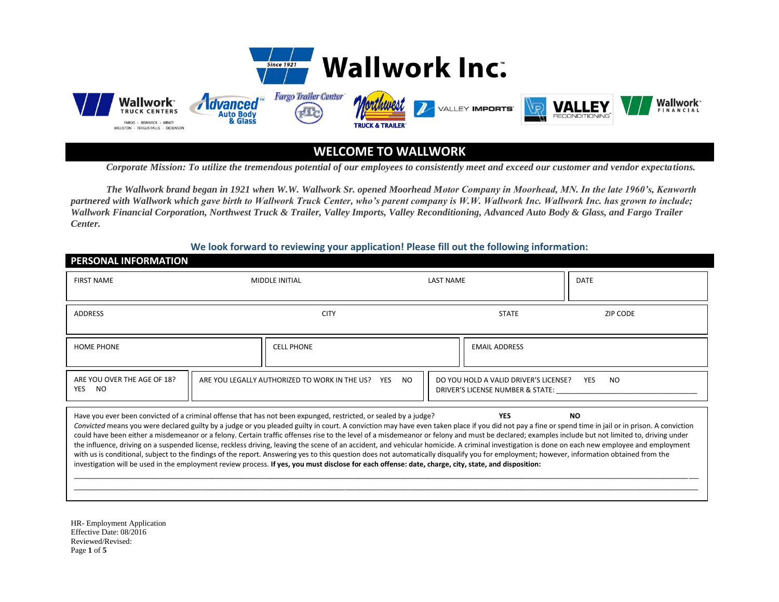



**WELCOME TO WALLWORK**

*Corporate Mission: To utilize the tremendous potential of our employees to consistently meet and exceed our customer and vendor expectations.* 

*The Wallwork brand began in 1921 when W.W. Wallwork Sr. opened Moorhead Motor Company in Moorhead, MN. In the late 1960's, Kenworth partnered with Wallwork which gave birth to Wallwork Truck Center, who's parent company is W.W. Wallwork Inc. Wallwork Inc. has grown to include; Wallwork Financial Corporation, Northwest Truck & Trailer, Valley Imports, Valley Reconditioning, Advanced Auto Body & Glass, and Fargo Trailer Center.* 

**We look forward to reviewing your application! Please fill out the following information:**

## **PERSONAL INFORMATION**

| <b>FIRST NAME</b>                                                                                                                                                                                                                                                                                                                                                                                                                                                                                                                                                                                                                                                                                                                                                                                                                                                                                                                                                                                                                                                                                                 | <b>MIDDLE INITIAL</b>                                                                                |  | <b>LAST NAME</b>     | <b>DATE</b>                                           |  |
|-------------------------------------------------------------------------------------------------------------------------------------------------------------------------------------------------------------------------------------------------------------------------------------------------------------------------------------------------------------------------------------------------------------------------------------------------------------------------------------------------------------------------------------------------------------------------------------------------------------------------------------------------------------------------------------------------------------------------------------------------------------------------------------------------------------------------------------------------------------------------------------------------------------------------------------------------------------------------------------------------------------------------------------------------------------------------------------------------------------------|------------------------------------------------------------------------------------------------------|--|----------------------|-------------------------------------------------------|--|
| <b>ADDRESS</b>                                                                                                                                                                                                                                                                                                                                                                                                                                                                                                                                                                                                                                                                                                                                                                                                                                                                                                                                                                                                                                                                                                    | <b>CITY</b>                                                                                          |  | <b>STATE</b>         | ZIP CODE                                              |  |
| <b>HOME PHONE</b>                                                                                                                                                                                                                                                                                                                                                                                                                                                                                                                                                                                                                                                                                                                                                                                                                                                                                                                                                                                                                                                                                                 | <b>CELL PHONE</b>                                                                                    |  | <b>EMAIL ADDRESS</b> |                                                       |  |
| ARE YOU OVER THE AGE OF 18?<br><b>YES</b><br><b>NO</b>                                                                                                                                                                                                                                                                                                                                                                                                                                                                                                                                                                                                                                                                                                                                                                                                                                                                                                                                                                                                                                                            | ARE YOU LEGALLY AUTHORIZED TO WORK IN THE US?<br>NO.<br>DO YOU HOLD A VALID DRIVER'S LICENSE?<br>YES |  |                      | <b>YES</b><br>NO.<br>DRIVER'S LICENSE NUMBER & STATE: |  |
| Have you ever been convicted of a criminal offense that has not been expunged, restricted, or sealed by a judge?<br><b>YES</b><br><b>NO</b><br>Convicted means you were declared guilty by a judge or you pleaded guilty in court. A conviction may have even taken place if you did not pay a fine or spend time in jail or in prison. A conviction<br>could have been either a misdemeanor or a felony. Certain traffic offenses rise to the level of a misdemeanor or felony and must be declared; examples include but not limited to, driving under<br>the influence, driving on a suspended license, reckless driving, leaving the scene of an accident, and vehicular homicide. A criminal investigation is done on each new employee and employment<br>with us is conditional, subject to the findings of the report. Answering yes to this question does not automatically disqualify you for employment; however, information obtained from the<br>investigation will be used in the employment review process. If yes, you must disclose for each offense: date, charge, city, state, and disposition: |                                                                                                      |  |                      |                                                       |  |

HR- Employment Application Effective Date: 08/2016 Reviewed/Revised: Page **1** of **5**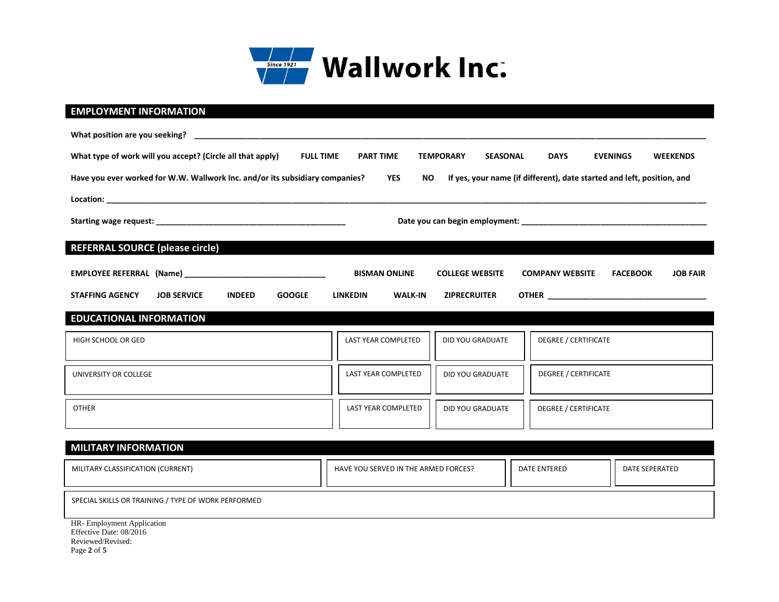

## **EMPLOYMENT INFORMATION**

| What type of work will you accept? (Circle all that apply)<br><b>FULL TIME</b>                                                                                       | <b>PART TIME</b>                  | <b>TEMPORARY</b><br><b>SEASONAL</b> | <b>DAYS</b><br><b>EVENINGS</b><br><b>WEEKENDS</b>            |  |  |  |
|----------------------------------------------------------------------------------------------------------------------------------------------------------------------|-----------------------------------|-------------------------------------|--------------------------------------------------------------|--|--|--|
| Have you ever worked for W.W. Wallwork Inc. and/or its subsidiary companies?<br>YES<br>If yes, your name (if different), date started and left, position, and<br>NO. |                                   |                                     |                                                              |  |  |  |
|                                                                                                                                                                      |                                   |                                     |                                                              |  |  |  |
|                                                                                                                                                                      |                                   |                                     |                                                              |  |  |  |
| <b>REFERRAL SOURCE (please circle)</b>                                                                                                                               |                                   |                                     |                                                              |  |  |  |
|                                                                                                                                                                      | <b>BISMAN ONLINE</b>              | <b>COLLEGE WEBSITE</b>              | <b>JOB FAIR</b><br><b>COMPANY WEBSITE</b><br><b>FACEBOOK</b> |  |  |  |
| <b>STAFFING AGENCY</b><br><b>JOB SERVICE</b><br><b>INDEED</b><br><b>GOOGLE</b>                                                                                       | <b>LINKEDIN</b><br><b>WALK-IN</b> | <b>ZIPRECRUITER</b>                 |                                                              |  |  |  |
| <b>EDUCATIONAL INFORMATION</b><br><u> Tanzania de la contrada de la contrada de la contrada de la contrada de la contrada de la contrada de la con</u>               |                                   |                                     |                                                              |  |  |  |
| HIGH SCHOOL OR GED                                                                                                                                                   | LAST YEAR COMPLETED               | <b>DID YOU GRADUATE</b>             | <b>DEGREE / CERTIFICATE</b>                                  |  |  |  |
|                                                                                                                                                                      |                                   |                                     |                                                              |  |  |  |
| UNIVERSITY OR COLLEGE                                                                                                                                                | LAST YEAR COMPLETED               | <b>DID YOU GRADUATE</b>             | <b>DEGREE / CERTIFICATE</b>                                  |  |  |  |
| <b>OTHER</b>                                                                                                                                                         | LAST YEAR COMPLETED               | DID YOU GRADUATE                    | <b>DEGREE / CERTIFICATE</b>                                  |  |  |  |
|                                                                                                                                                                      |                                   |                                     |                                                              |  |  |  |
|                                                                                                                                                                      |                                   |                                     |                                                              |  |  |  |
| <b>MILITARY INFORMATION</b>                                                                                                                                          |                                   |                                     | ח ר                                                          |  |  |  |

| MILITARY CLASSIFICATION (CURRENT)                   | HAVE YOU SERVED IN THE ARMED FORCES? | DATE ENTERED | DATE SEPERATED |
|-----------------------------------------------------|--------------------------------------|--------------|----------------|
| SPECIAL SKILLS OR TRAINING / TYPE OF WORK PERFORMED |                                      |              |                |
| HR- Employment Application                          |                                      |              |                |

Effective Date: 08/2016 Reviewed/Revised: Page **2** of **5**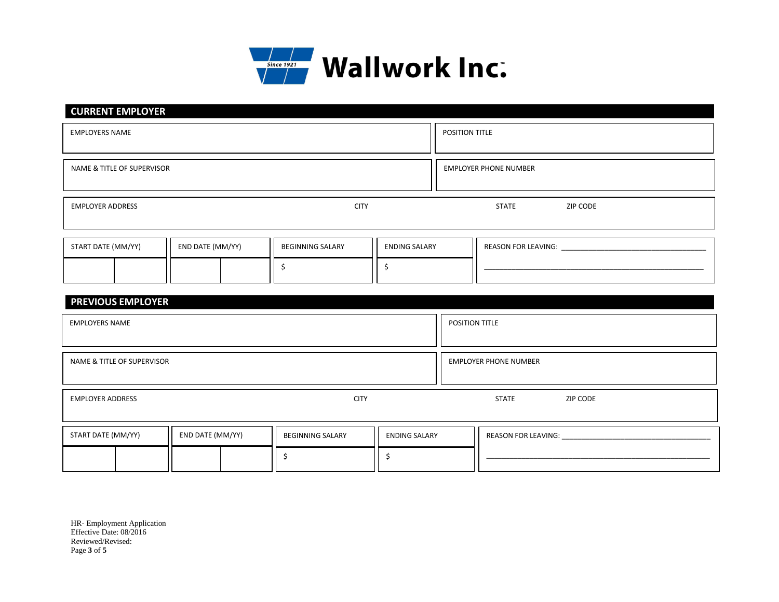

| <b>CURRENT EMPLOYER</b>                |                  |                         |                      |                |                              |  |  |
|----------------------------------------|------------------|-------------------------|----------------------|----------------|------------------------------|--|--|
| <b>EMPLOYERS NAME</b>                  |                  |                         |                      | POSITION TITLE |                              |  |  |
|                                        |                  |                         |                      |                |                              |  |  |
| NAME & TITLE OF SUPERVISOR             |                  |                         |                      |                | <b>EMPLOYER PHONE NUMBER</b> |  |  |
| <b>CITY</b><br><b>EMPLOYER ADDRESS</b> |                  |                         |                      |                |                              |  |  |
|                                        |                  |                         |                      | <b>STATE</b>   | ZIP CODE                     |  |  |
|                                        |                  |                         |                      |                |                              |  |  |
|                                        |                  |                         |                      |                |                              |  |  |
| START DATE (MM/YY)                     | END DATE (MM/YY) | <b>BEGINNING SALARY</b> | <b>ENDING SALARY</b> |                | <b>REASON FOR LEAVING:</b>   |  |  |
|                                        |                  |                         |                      |                |                              |  |  |
|                                        |                  |                         |                      |                |                              |  |  |

| <b>PREVIOUS EMPLOYER</b>               |                  |                         |                              |                          |                                                                                                                                                                                                                                |
|----------------------------------------|------------------|-------------------------|------------------------------|--------------------------|--------------------------------------------------------------------------------------------------------------------------------------------------------------------------------------------------------------------------------|
| <b>EMPLOYERS NAME</b>                  |                  |                         |                              | POSITION TITLE           |                                                                                                                                                                                                                                |
|                                        |                  |                         |                              |                          |                                                                                                                                                                                                                                |
| NAME & TITLE OF SUPERVISOR             |                  |                         | <b>EMPLOYER PHONE NUMBER</b> |                          |                                                                                                                                                                                                                                |
| <b>CITY</b><br><b>EMPLOYER ADDRESS</b> |                  |                         |                              | <b>STATE</b><br>ZIP CODE |                                                                                                                                                                                                                                |
| START DATE (MM/YY)                     | END DATE (MM/YY) | <b>BEGINNING SALARY</b> | <b>ENDING SALARY</b>         |                          | REASON FOR LEAVING: New York CANADA AND A CONTROL CONTROL CONTROL CONTROL CONTROL CONTROL CONTROL CONTROL CONTROL CONTROL CONTROL CONTROL CONTROL CONTROL CONTROL CONTROL CONTROL CONTROL CONTROL CONTROL CONTROL CONTROL CONT |
|                                        |                  |                         |                              |                          |                                                                                                                                                                                                                                |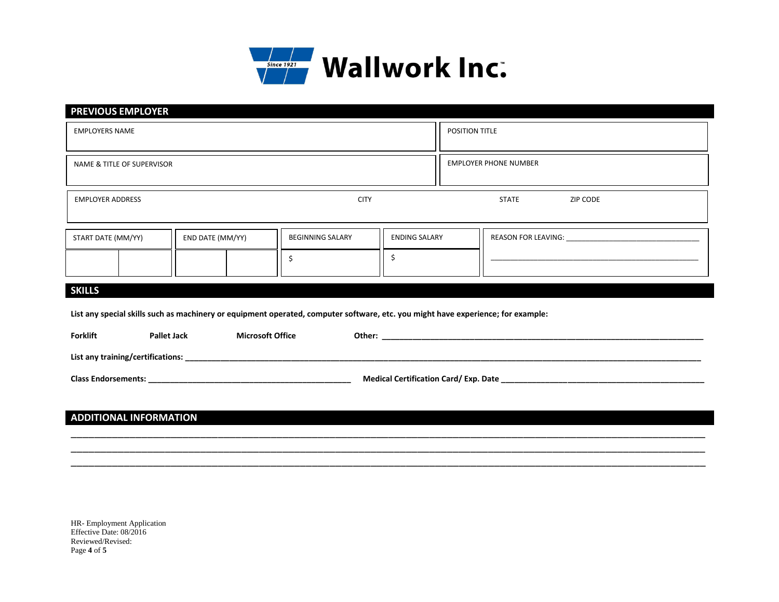

| <b>PREVIOUS EMPLOYER</b>                                                                                                         |                         |                      |                                                                                                                                                                                                                                |  |  |  |
|----------------------------------------------------------------------------------------------------------------------------------|-------------------------|----------------------|--------------------------------------------------------------------------------------------------------------------------------------------------------------------------------------------------------------------------------|--|--|--|
| <b>EMPLOYERS NAME</b>                                                                                                            |                         |                      | POSITION TITLE                                                                                                                                                                                                                 |  |  |  |
|                                                                                                                                  |                         |                      |                                                                                                                                                                                                                                |  |  |  |
| NAME & TITLE OF SUPERVISOR                                                                                                       |                         |                      | <b>EMPLOYER PHONE NUMBER</b>                                                                                                                                                                                                   |  |  |  |
|                                                                                                                                  |                         |                      |                                                                                                                                                                                                                                |  |  |  |
| <b>EMPLOYER ADDRESS</b>                                                                                                          | <b>CITY</b>             |                      | <b>STATE</b><br>ZIP CODE                                                                                                                                                                                                       |  |  |  |
|                                                                                                                                  |                         |                      |                                                                                                                                                                                                                                |  |  |  |
| START DATE (MM/YY)<br>END DATE (MM/YY)                                                                                           | <b>BEGINNING SALARY</b> | <b>ENDING SALARY</b> |                                                                                                                                                                                                                                |  |  |  |
|                                                                                                                                  | \$                      | \$                   | <u> 1989 - Johann John Stoff, deutscher Stoffen und der Stoffen und der Stoffen und der Stoffen und der Stoffen u</u>                                                                                                          |  |  |  |
|                                                                                                                                  |                         |                      |                                                                                                                                                                                                                                |  |  |  |
| <b>SKILLS</b>                                                                                                                    |                         |                      |                                                                                                                                                                                                                                |  |  |  |
| List any special skills such as machinery or equipment operated, computer software, etc. you might have experience; for example: |                         |                      |                                                                                                                                                                                                                                |  |  |  |
| <b>Forklift</b><br><b>Pallet Jack</b>                                                                                            | <b>Microsoft Office</b> |                      | Other: when the contract of the contract of the contract of the contract of the contract of the contract of the contract of the contract of the contract of the contract of the contract of the contract of the contract of th |  |  |  |
|                                                                                                                                  |                         |                      |                                                                                                                                                                                                                                |  |  |  |
|                                                                                                                                  |                         |                      |                                                                                                                                                                                                                                |  |  |  |
|                                                                                                                                  |                         |                      |                                                                                                                                                                                                                                |  |  |  |
|                                                                                                                                  |                         |                      |                                                                                                                                                                                                                                |  |  |  |
| <b>ADDITIONAL INFORMATION</b>                                                                                                    |                         |                      |                                                                                                                                                                                                                                |  |  |  |

\_\_\_\_\_\_\_\_\_\_\_\_\_\_\_\_\_\_\_\_\_\_\_\_\_\_\_\_\_\_\_\_\_\_\_\_\_\_\_\_\_\_\_\_\_\_\_\_\_\_\_\_\_\_\_\_\_\_\_\_\_\_\_\_\_\_\_\_\_\_\_\_\_\_\_\_\_\_\_\_\_\_\_\_\_\_\_\_\_\_\_\_\_\_\_\_\_\_\_\_\_\_\_\_\_\_\_\_ \_\_\_\_\_\_\_\_\_\_\_\_\_\_\_\_\_\_\_\_\_\_\_\_\_\_\_\_\_\_\_\_\_\_\_\_\_\_\_\_\_\_\_\_\_\_\_\_\_\_\_\_\_\_\_\_\_\_\_\_\_\_\_\_\_\_\_\_\_\_\_\_\_\_\_\_\_\_\_\_\_\_\_\_\_\_\_\_\_\_\_\_\_\_\_\_\_\_\_\_\_\_\_\_\_\_\_\_ \_\_\_\_\_\_\_\_\_\_\_\_\_\_\_\_\_\_\_\_\_\_\_\_\_\_\_\_\_\_\_\_\_\_\_\_\_\_\_\_\_\_\_\_\_\_\_\_\_\_\_\_\_\_\_\_\_\_\_\_\_\_\_\_\_\_\_\_\_\_\_\_\_\_\_\_\_\_\_\_\_\_\_\_\_\_\_\_\_\_\_\_\_\_\_\_\_\_\_\_\_\_\_\_\_\_\_\_

HR- Employment Application Effective Date: 08/2016 Reviewed/Revised: Page **4** of **5**